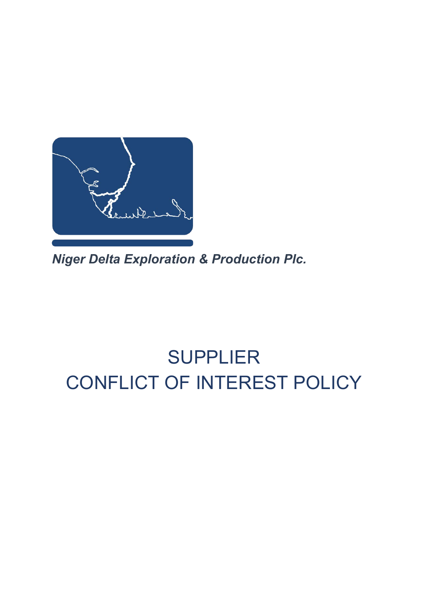

*Niger Delta Exploration & Production Plc.*

# SUPPLIER CONFLICT OF INTEREST POLICY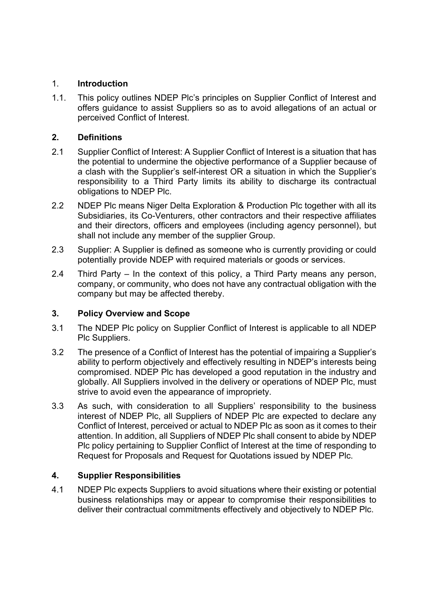### 1. **Introduction**

1.1. This policy outlines NDEP Plc's principles on Supplier Conflict of Interest and offers guidance to assist Suppliers so as to avoid allegations of an actual or perceived Conflict of Interest.

# **2. Definitions**

- 2.1 Supplier Conflict of Interest: A Supplier Conflict of Interest is a situation that has the potential to undermine the objective performance of a Supplier because of a clash with the Supplier's self-interest OR a situation in which the Supplier's responsibility to a Third Party limits its ability to discharge its contractual obligations to NDEP Plc.
- 2.2 NDEP Plc means Niger Delta Exploration & Production Plc together with all its Subsidiaries, its Co-Venturers, other contractors and their respective affiliates and their directors, officers and employees (including agency personnel), but shall not include any member of the supplier Group.
- 2.3 Supplier: A Supplier is defined as someone who is currently providing or could potentially provide NDEP with required materials or goods or services.
- 2.4 Third Party In the context of this policy, a Third Party means any person, company, or community, who does not have any contractual obligation with the company but may be affected thereby.

# **3. Policy Overview and Scope**

- 3.1 The NDEP Plc policy on Supplier Conflict of Interest is applicable to all NDEP Plc Suppliers.
- 3.2 The presence of a Conflict of Interest has the potential of impairing a Supplier's ability to perform objectively and effectively resulting in NDEP's interests being compromised. NDEP Plc has developed a good reputation in the industry and globally. All Suppliers involved in the delivery or operations of NDEP Plc, must strive to avoid even the appearance of impropriety.
- 3.3 As such, with consideration to all Suppliers' responsibility to the business interest of NDEP Plc, all Suppliers of NDEP Plc are expected to declare any Conflict of Interest, perceived or actual to NDEP Plc as soon as it comes to their attention. In addition, all Suppliers of NDEP Plc shall consent to abide by NDEP Plc policy pertaining to Supplier Conflict of Interest at the time of responding to Request for Proposals and Request for Quotations issued by NDEP Plc.

# **4. Supplier Responsibilities**

4.1 NDEP Plc expects Suppliers to avoid situations where their existing or potential business relationships may or appear to compromise their responsibilities to deliver their contractual commitments effectively and objectively to NDEP Plc.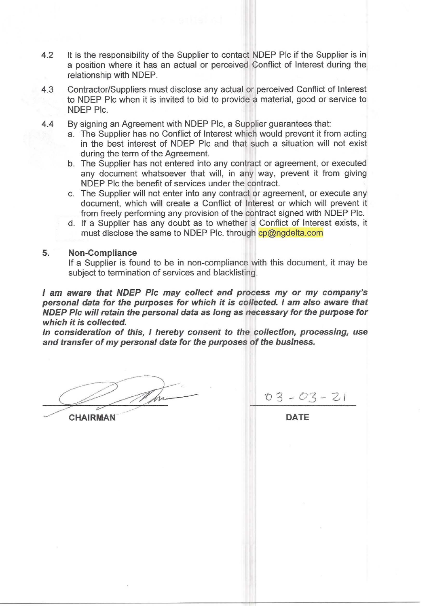- It is the responsibility of the Supplier to contact NDEP PIc if the Supplier is in 4.2 a position where it has an actual or perceived Conflict of Interest during the relationship with NDEP.
- 4.3 Contractor/Suppliers must disclose any actual or perceived Conflict of Interest to NDEP PIc when it is invited to bid to provide a material, good or service to NDEP Plc.
- $4.4$ By signing an Agreement with NDEP Plc, a Supplier quarantees that:
	- a. The Supplier has no Conflict of Interest which would prevent it from acting in the best interest of NDEP Plc and that such a situation will not exist during the term of the Agreement.
	- b. The Supplier has not entered into any contract or agreement, or executed any document whatsoever that will, in any way, prevent it from giving NDEP Plc the benefit of services under the contract.
	- c. The Supplier will not enter into any contract or agreement, or execute any document, which will create a Conflict of Interest or which will prevent it from freely performing any provision of the contract signed with NDEP Plc.
	- d. If a Supplier has any doubt as to whether a Conflict of Interest exists, it must disclose the same to NDEP Plc. through cp@ngdelta.com

#### 5. **Non-Compliance**

If a Supplier is found to be in non-compliance with this document, it may be subject to termination of services and blacklisting.

I am aware that NDEP PIc may collect and process my or my company's personal data for the purposes for which it is collected. I am also aware that NDEP PIc will retain the personal data as long as necessary for the purpose for which it is collected.

In consideration of this, I hereby consent to the collection, processing, use and transfer of my personal data for the purposes of the business.

**CHAIRMAN** 

 $03 - 03 - 21$ 

**DATE**